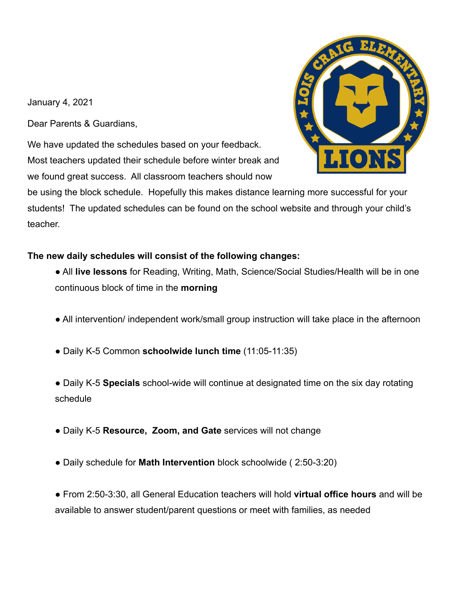January 4, 2021

Dear Parents & Guardians,

We have updated the schedules based on your feedback. Most teachers updated their schedule before winter break and we found great success. All classroom teachers should now



be using the block schedule. Hopefully this makes distance learning more successful for your students! The updated schedules can be found on the school website and through your child's teacher.

## **The new daily schedules will consist of the following changes:**

- All **live lessons** for Reading, Writing, Math, Science/Social Studies/Health will be in one continuous block of time in the **morning**
- All intervention/ independent work/small group instruction will take place in the afternoon
- Daily K-5 Common **schoolwide lunch time** (11:05-11:35)
- Daily K-5 **Specials** school-wide will continue at designated time on the six day rotating schedule
- Daily K-5 **Resource, Zoom, and Gate** services will not change
- Daily schedule for **Math Intervention** block schoolwide ( 2:50-3:20)

● From 2:50-3:30, all General Education teachers will hold **virtual office hours** and will be available to answer student/parent questions or meet with families, as needed